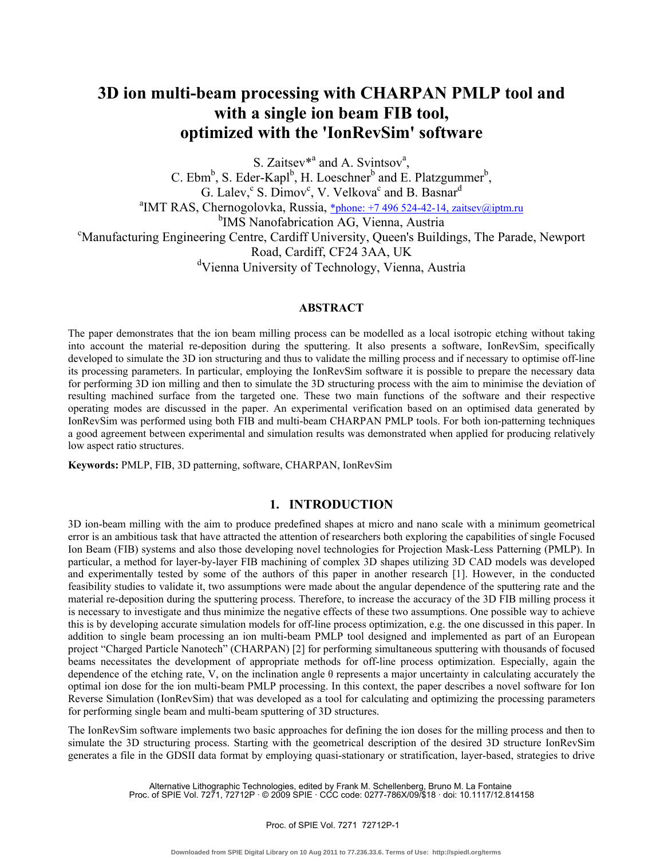# **3D ion multi-beam processing with CHARPAN PMLP tool and with a single ion beam FIB tool, optimized with the 'IonRevSim' software**

S. Zaitsev<sup>\*a</sup> and A. Svintsov<sup>a</sup>,

C. Ebm<sup>b</sup>, S. Eder-Kapl<sup>b</sup>, H. Loeschner<sup>b</sup> and E. Platzgummer<sup>b</sup>, G. Lalev,  $^{\circ}$  S. Dimov<sup>c</sup>, V. Velkova<sup>c</sup> and B. Basnar<sup>d</sup><br><sup>a</sup>IMT BAS, Charnegalayka, Bussia, \*shana: 17,406,534,43,14,55i <sup>a</sup>IMT RAS, Chernogolovka, Russia, \*phone: +7 496 524-42-14, zaitsev@iptm.ru <sup>b</sup>IMS Nanofabrication AG, Vienna, Austria Manufacturing Engineering Centre, Cardiff University, Queen's Buildings, The Parade, Newport Road, Cardiff, CF24 3AA, UK <sup>d</sup>Vienna University of Technology, Vienna, Austria

## **ABSTRACT**

The paper demonstrates that the ion beam milling process can be modelled as a local isotropic etching without taking into account the material re-deposition during the sputtering. It also presents a software, IonRevSim, specifically developed to simulate the 3D ion structuring and thus to validate the milling process and if necessary to optimise off-line its processing parameters. In particular, employing the IonRevSim software it is possible to prepare the necessary data for performing 3D ion milling and then to simulate the 3D structuring process with the aim to minimise the deviation of resulting machined surface from the targeted one. These two main functions of the software and their respective operating modes are discussed in the paper. An experimental verification based on an optimised data generated by IonRevSim was performed using both FIB and multi-beam CHARPAN PMLP tools. For both ion-patterning techniques a good agreement between experimental and simulation results was demonstrated when applied for producing relatively low aspect ratio structures.

**Keywords:** PMLP, FIB, 3D patterning, software, CHARPAN, IonRevSim

# **1. INTRODUCTION**

3D ion-beam milling with the aim to produce predefined shapes at micro and nano scale with a minimum geometrical error is an ambitious task that have attracted the attention of researchers both exploring the capabilities of single Focused Ion Beam (FIB) systems and also those developing novel technologies for Projection Mask-Less Patterning (PMLP). In particular, a method for layer-by-layer FIB machining of complex 3D shapes utilizing 3D CAD models was developed and experimentally tested by some of the authors of this paper in another research [1]. However, in the conducted feasibility studies to validate it, two assumptions were made about the angular dependence of the sputtering rate and the material re-deposition during the sputtering process. Therefore, to increase the accuracy of the 3D FIB milling process it is necessary to investigate and thus minimize the negative effects of these two assumptions. One possible way to achieve this is by developing accurate simulation models for off-line process optimization, e.g. the one discussed in this paper. In addition to single beam processing an ion multi-beam PMLP tool designed and implemented as part of an European project "Charged Particle Nanotech" (CHARPAN) [2] for performing simultaneous sputtering with thousands of focused beams necessitates the development of appropriate methods for off-line process optimization. Especially, again the dependence of the etching rate, V, on the inclination angle  $\theta$  represents a major uncertainty in calculating accurately the optimal ion dose for the ion multi-beam PMLP processing. In this context, the paper describes a novel software for Ion Reverse Simulation (IonRevSim) that was developed as a tool for calculating and optimizing the processing parameters for performing single beam and multi-beam sputtering of 3D structures.

The IonRevSim software implements two basic approaches for defining the ion doses for the milling process and then to simulate the 3D structuring process. Starting with the geometrical description of the desired 3D structure IonRevSim generates a file in the GDSII data format by employing quasi-stationary or stratification, layer-based, strategies to drive

> Alternative Lithographic Technologies, edited by Frank M. Schellenberg, Bruno M. La Fontaine Proc. of SPIE Vol. 7271, 72712P · © 2009 SPIE · CCC code: 0277-786X/09/\$18 · doi: 10.1117/12.814158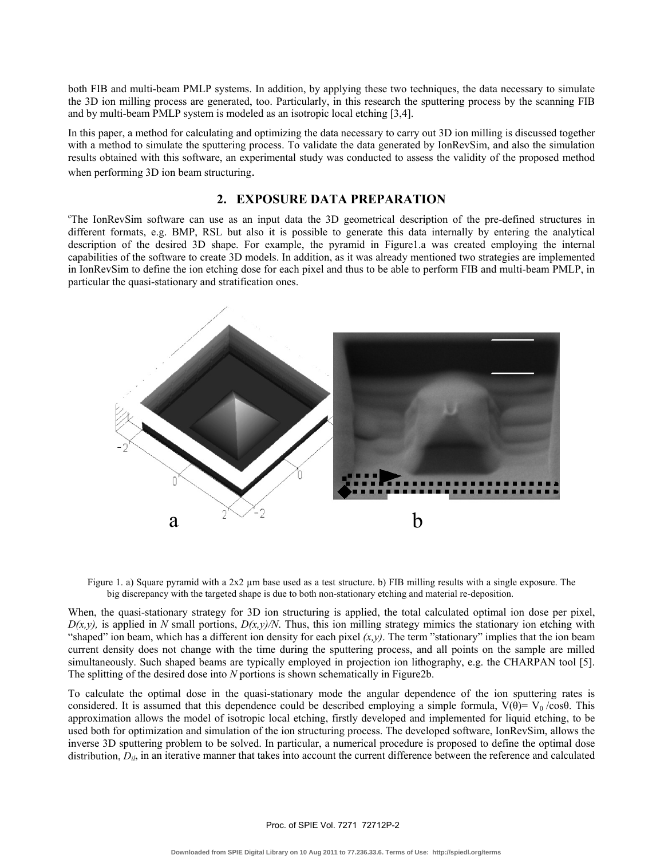both FIB and multi-beam PMLP systems. In addition, by applying these two techniques, the data necessary to simulate the 3D ion milling process are generated, too. Particularly, in this research the sputtering process by the scanning FIB and by multi-beam PMLP system is modeled as an isotropic local etching [3,4].

In this paper, a method for calculating and optimizing the data necessary to carry out 3D ion milling is discussed together with a method to simulate the sputtering process. To validate the data generated by IonRevSim, and also the simulation results obtained with this software, an experimental study was conducted to assess the validity of the proposed method when performing 3D ion beam structuring.

## **2. EXPOSURE DATA PREPARATION**

c The IonRevSim software can use as an input data the 3D geometrical description of the pre-defined structures in different formats, e.g. BMP, RSL but also it is possible to generate this data internally by entering the analytical description of the desired 3D shape. For example, the pyramid in Figure1.a was created employing the internal capabilities of the software to create 3D models. In addition, as it was already mentioned two strategies are implemented in IonRevSim to define the ion etching dose for each pixel and thus to be able to perform FIB and multi-beam PMLP, in particular the quasi-stationary and stratification ones.



Figure 1. a) Square pyramid with a  $2x2 \mu m$  base used as a test structure. b) FIB milling results with a single exposure. The big discrepancy with the targeted shape is due to both non-stationary etching and material re-deposition.

When, the quasi-stationary strategy for 3D ion structuring is applied, the total calculated optimal ion dose per pixel,  $D(x, y)$ , is applied in *N* small portions,  $D(x, y)/N$ . Thus, this ion milling strategy mimics the stationary ion etching with "shaped" ion beam, which has a different ion density for each pixel  $(x, y)$ . The term "stationary" implies that the ion beam current density does not change with the time during the sputtering process, and all points on the sample are milled simultaneously. Such shaped beams are typically employed in projection ion lithography, e.g. the CHARPAN tool [5]. The splitting of the desired dose into *N* portions is shown schematically in Figure2b.

To calculate the optimal dose in the quasi-stationary mode the angular dependence of the ion sputtering rates is considered. It is assumed that this dependence could be described employing a simple formula,  $V(\theta) = V_0 / \cos \theta$ . This approximation allows the model of isotropic local etching, firstly developed and implemented for liquid etching, to be used both for optimization and simulation of the ion structuring process. The developed software, IonRevSim, allows the inverse 3D sputtering problem to be solved. In particular, a numerical procedure is proposed to define the optimal dose distribution,  $D_{il}$ , in an iterative manner that takes into account the current difference between the reference and calculated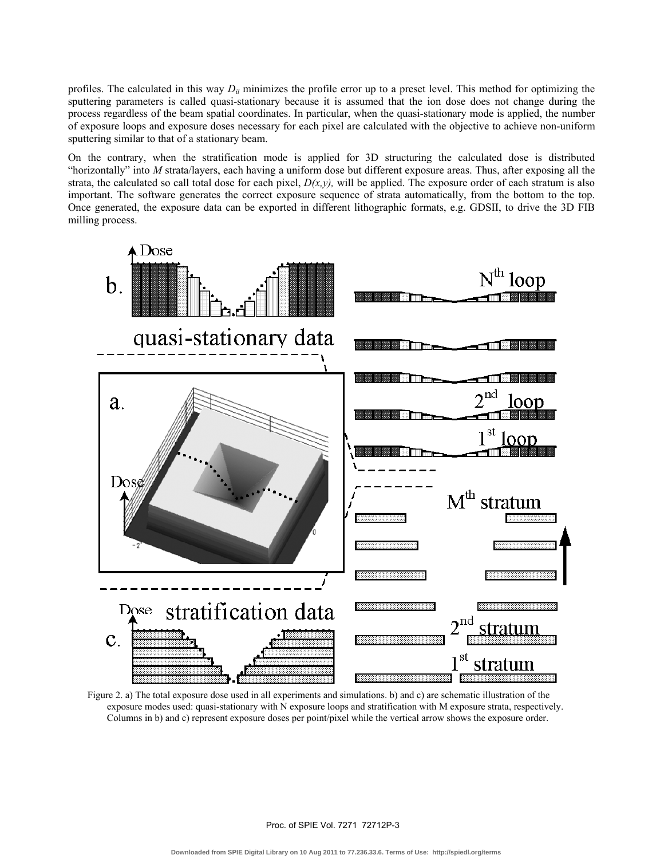profiles. The calculated in this way *Dil* minimizes the profile error up to a preset level. This method for optimizing the sputtering parameters is called quasi-stationary because it is assumed that the ion dose does not change during the process regardless of the beam spatial coordinates. In particular, when the quasi-stationary mode is applied, the number of exposure loops and exposure doses necessary for each pixel are calculated with the objective to achieve non-uniform sputtering similar to that of a stationary beam.

On the contrary, when the stratification mode is applied for 3D structuring the calculated dose is distributed "horizontally" into *M* strata/layers, each having a uniform dose but different exposure areas. Thus, after exposing all the strata, the calculated so call total dose for each pixel,  $D(x, y)$ , will be applied. The exposure order of each stratum is also important. The software generates the correct exposure sequence of strata automatically, from the bottom to the top. Once generated, the exposure data can be exported in different lithographic formats, e.g. GDSII, to drive the 3D FIB milling process.



Figure 2. a) The total exposure dose used in all experiments and simulations. b) and c) are schematic illustration of the exposure modes used: quasi-stationary with N exposure loops and stratification with M exposure strata, respectively. Columns in b) and c) represent exposure doses per point/pixel while the vertical arrow shows the exposure order.

Proc. of SPIE Vol. 7271 72712P-3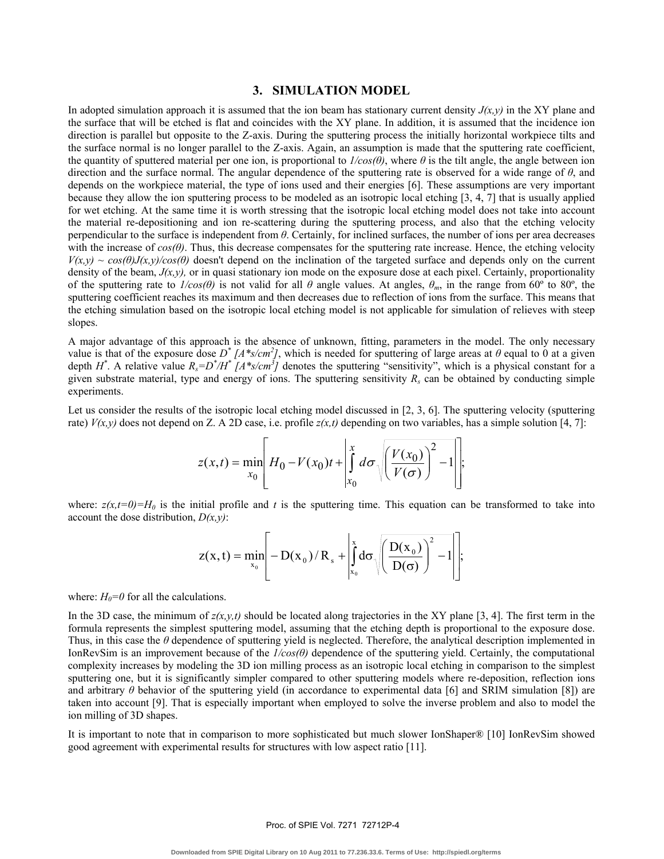## **3. SIMULATION MODEL**

In adopted simulation approach it is assumed that the ion beam has stationary current density  $J(x, y)$  in the XY plane and the surface that will be etched is flat and coincides with the XY plane. In addition, it is assumed that the incidence ion direction is parallel but opposite to the Z-axis. During the sputtering process the initially horizontal workpiece tilts and the surface normal is no longer parallel to the Z-axis. Again, an assumption is made that the sputtering rate coefficient, the quantity of sputtered material per one ion, is proportional to  $I/cos(\theta)$ , where  $\theta$  is the tilt angle, the angle between ion direction and the surface normal. The angular dependence of the sputtering rate is observed for a wide range of *θ*, and depends on the workpiece material, the type of ions used and their energies [6]. These assumptions are very important because they allow the ion sputtering process to be modeled as an isotropic local etching [3, 4, 7] that is usually applied for wet etching. At the same time it is worth stressing that the isotropic local etching model does not take into account the material re-depositioning and ion re-scattering during the sputtering process, and also that the etching velocity perpendicular to the surface is independent from *θ*. Certainly, for inclined surfaces, the number of ions per area decreases with the increase of *cos(θ)*. Thus, this decrease compensates for the sputtering rate increase. Hence, the etching velocity  $V(x,y) \sim \cos(\theta)J(x,y)/\cos(\theta)$  doesn't depend on the inclination of the targeted surface and depends only on the current density of the beam,  $J(x, y)$ , or in quasi stationary ion mode on the exposure dose at each pixel. Certainly, proportionality of the sputtering rate to  $I/cos(\theta)$  is not valid for all  $\theta$  angle values. At angles,  $\theta_m$ , in the range from 60° to 80°, the sputtering coefficient reaches its maximum and then decreases due to reflection of ions from the surface. This means that the etching simulation based on the isotropic local etching model is not applicable for simulation of relieves with steep slopes.

A major advantage of this approach is the absence of unknown, fitting, parameters in the model. The only necessary value is that of the exposure dose  $D^* / A^*s/cm^2$ , which is needed for sputtering of large areas at  $\theta$  equal to 0 at a given depth  $H^*$ . A relative value  $R_s = D^* / H^* / (A^* s / cm^3)$  denotes the sputtering "sensitivity", which is a physical constant for a given substrate material, type and energy of ions. The sputtering sensitivity  $R_s$  can be obtained by conducting simple experiments.

Let us consider the results of the isotropic local etching model discussed in [2, 3, 6]. The sputtering velocity (sputtering rate)  $V(x, y)$  does not depend on Z. A 2D case, i.e. profile  $z(x,t)$  depending on two variables, has a simple solution [4, 7]:

$$
z(x,t) = \min_{x_0} \left[ H_0 - V(x_0)t + \int_{x_0}^x d\sigma \sqrt{\left(\frac{V(x_0)}{V(\sigma)}\right)^2 - 1} \right];
$$

where:  $z(x,t=0)=H_0$  is the initial profile and t is the sputtering time. This equation can be transformed to take into account the dose distribution, *D(x,y)*:

$$
z(x,t) = \min_{x_0} \left[ -D(x_0)/R_s + \left| \int_{x_0}^{x} d\sigma \sqrt{\left( \frac{D(x_0)}{D(\sigma)} \right)^2 - 1} \right| \right];
$$

where:  $H_0=0$  for all the calculations.

In the 3D case, the minimum of  $z(x, y, t)$  should be located along trajectories in the XY plane [3, 4]. The first term in the formula represents the simplest sputtering model, assuming that the etching depth is proportional to the exposure dose. Thus, in this case the *θ* dependence of sputtering yield is neglected. Therefore, the analytical description implemented in IonRevSim is an improvement because of the *1/cos(θ)* dependence of the sputtering yield. Certainly, the computational complexity increases by modeling the 3D ion milling process as an isotropic local etching in comparison to the simplest sputtering one, but it is significantly simpler compared to other sputtering models where re-deposition, reflection ions and arbitrary  $\theta$  behavior of the sputtering yield (in accordance to experimental data [6] and SRIM simulation [8]) are taken into account [9]. That is especially important when employed to solve the inverse problem and also to model the ion milling of 3D shapes.

It is important to note that in comparison to more sophisticated but much slower IonShaper® [10] IonRevSim showed good agreement with experimental results for structures with low aspect ratio [11].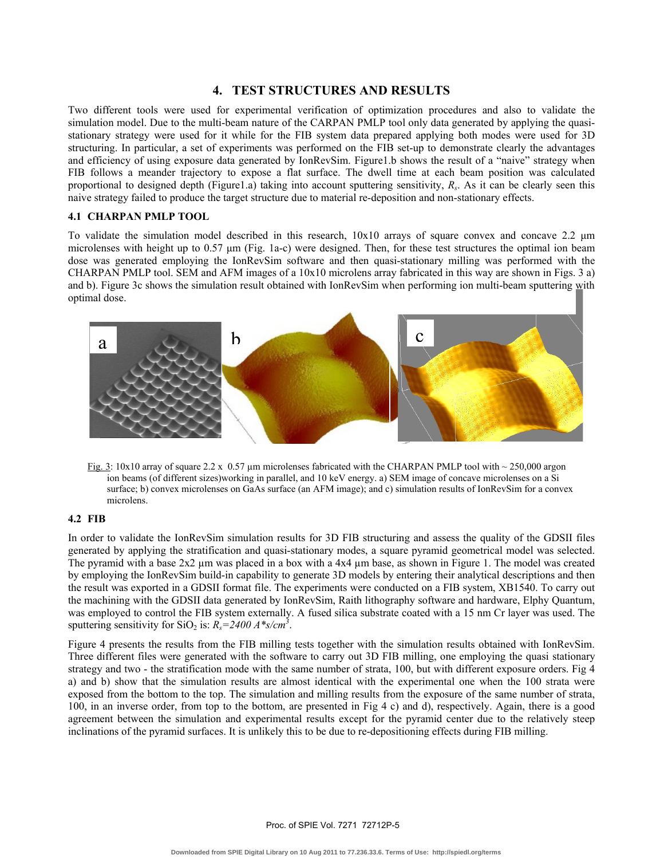## **4. TEST STRUCTURES AND RESULTS**

Two different tools were used for experimental verification of optimization procedures and also to validate the simulation model. Due to the multi-beam nature of the CARPAN PMLP tool only data generated by applying the quasistationary strategy were used for it while for the FIB system data prepared applying both modes were used for 3D structuring. In particular, a set of experiments was performed on the FIB set-up to demonstrate clearly the advantages and efficiency of using exposure data generated by IonRevSim. Figure1.b shows the result of a "naive" strategy when FIB follows a meander trajectory to expose a flat surface. The dwell time at each beam position was calculated proportional to designed depth (Figure1.a) taking into account sputtering sensitivity, *Rs*. As it can be clearly seen this naive strategy failed to produce the target structure due to material re-deposition and non-stationary effects.

#### **4.1 CHARPAN PMLP TOOL**

To validate the simulation model described in this research, 10x10 arrays of square convex and concave 2.2 μm microlenses with height up to  $0.57 \mu m$  (Fig. 1a-c) were designed. Then, for these test structures the optimal ion beam dose was generated employing the IonRevSim software and then quasi-stationary milling was performed with the CHARPAN PMLP tool. SEM and AFM images of a 10x10 microlens array fabricated in this way are shown in Figs. 3 a) and b). Figure 3c shows the simulation result obtained with IonRevSim when performing ion multi-beam sputtering with optimal dose.



Fig. 3: 10x10 array of square 2.2 x 0.57 µm microlenses fabricated with the CHARPAN PMLP tool with ~ 250,000 argon ion beams (of different sizes)working in parallel, and 10 keV energy. a) SEM image of concave microlenses on a Si surface; b) convex microlenses on GaAs surface (an AFM image); and c) simulation results of IonRevSim for a convex microlens.

#### **4.2 FIB**

In order to validate the IonRevSim simulation results for 3D FIB structuring and assess the quality of the GDSII files generated by applying the stratification and quasi-stationary modes, a square pyramid geometrical model was selected. The pyramid with a base  $2x2 \mu m$  was placed in a box with a  $4x4 \mu m$  base, as shown in Figure 1. The model was created by employing the IonRevSim build-in capability to generate 3D models by entering their analytical descriptions and then the result was exported in a GDSII format file. The experiments were conducted on a FIB system, XB1540. To carry out the machining with the GDSII data generated by IonRevSim, Raith lithography software and hardware, Elphy Quantum, was employed to control the FIB system externally. A fused silica substrate coated with a 15 nm Cr layer was used. The sputtering sensitivity for SiO<sub>2</sub> is:  $R_s = 2400 \, A \cdot s/cm^3$ .

Figure 4 presents the results from the FIB milling tests together with the simulation results obtained with IonRevSim. Three different files were generated with the software to carry out 3D FIB milling, one employing the quasi stationary strategy and two - the stratification mode with the same number of strata, 100, but with different exposure orders. Fig 4 a) and b) show that the simulation results are almost identical with the experimental one when the 100 strata were exposed from the bottom to the top. The simulation and milling results from the exposure of the same number of strata, 100, in an inverse order, from top to the bottom, are presented in Fig 4 c) and d), respectively. Again, there is a good agreement between the simulation and experimental results except for the pyramid center due to the relatively steep inclinations of the pyramid surfaces. It is unlikely this to be due to re-depositioning effects during FIB milling.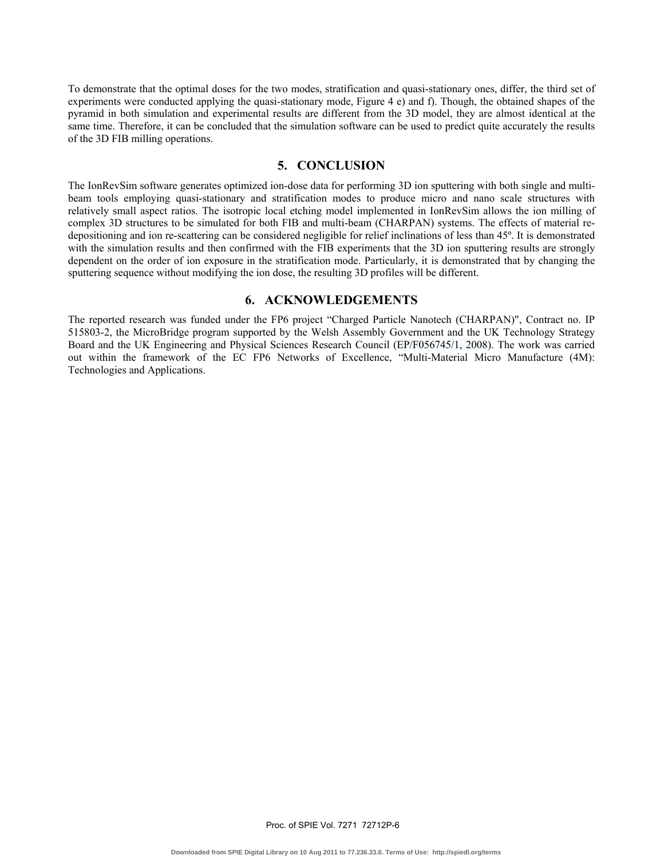To demonstrate that the optimal doses for the two modes, stratification and quasi-stationary ones, differ, the third set of experiments were conducted applying the quasi-stationary mode, Figure 4 e) and f). Though, the obtained shapes of the pyramid in both simulation and experimental results are different from the 3D model, they are almost identical at the same time. Therefore, it can be concluded that the simulation software can be used to predict quite accurately the results of the 3D FIB milling operations.

# **5. CONCLUSION**

The IonRevSim software generates optimized ion-dose data for performing 3D ion sputtering with both single and multibeam tools employing quasi-stationary and stratification modes to produce micro and nano scale structures with relatively small aspect ratios. The isotropic local etching model implemented in IonRevSim allows the ion milling of complex 3D structures to be simulated for both FIB and multi-beam (CHARPAN) systems. The effects of material redepositioning and ion re-scattering can be considered negligible for relief inclinations of less than 45º. It is demonstrated with the simulation results and then confirmed with the FIB experiments that the 3D ion sputtering results are strongly dependent on the order of ion exposure in the stratification mode. Particularly, it is demonstrated that by changing the sputtering sequence without modifying the ion dose, the resulting 3D profiles will be different.

### **6. ACKNOWLEDGEMENTS**

The reported research was funded under the FP6 project "Charged Particle Nanotech (CHARPAN)", Contract no. IP 515803-2, the MicroBridge program supported by the Welsh Assembly Government and the UK Technology Strategy Board and the UK Engineering and Physical Sciences Research Council (EP/F056745/1, 2008). The work was carried out within the framework of the EC FP6 Networks of Excellence, "Multi-Material Micro Manufacture (4M): Technologies and Applications.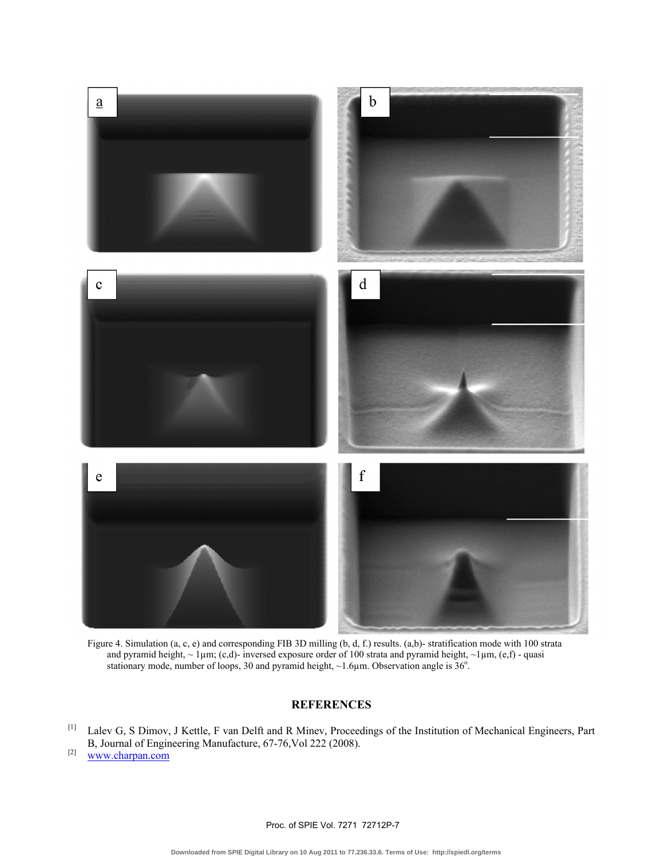

and pyramid height,  $\sim 1 \mu m$ ; (c,d)- inversed exposure order of 100 strata and pyramid height,  $\sim 1 \mu m$ , (e,f) - quasi stationary mode, number of loops, 30 and pyramid height,  $\sim$  1.6 $\mu$ m. Observation angle is 36°.

## **REFERENCES**

[1] Lalev G, S Dimov, J Kettle, F van Delft and R Minev, Proceedings of the Institution of Mechanical Engineers, Part B, Journal of Engineering Manufacture, 67-76,Vol 222 (2008).

 $[2]$  www.charpan.com